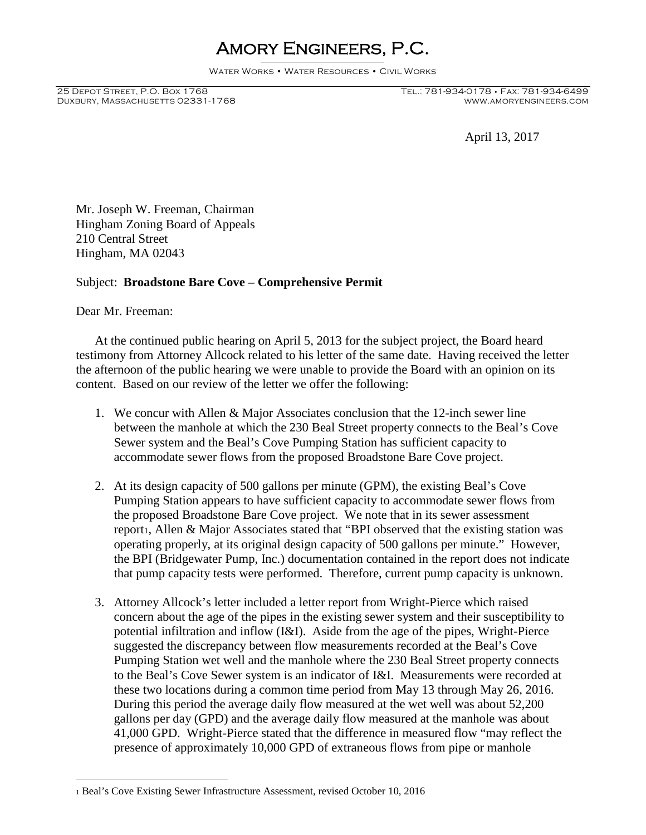## Amory Engineers, P.C.

Water Works • Water Resources • Civil Works

Duxbury, Massachusetts 02331-1768

25 Depot Street, P.O. Box 1768 Tel.: 781-934-0178 • Fax: 781-934-6499

April 13, 2017

Mr. Joseph W. Freeman, Chairman Hingham Zoning Board of Appeals 210 Central Street Hingham, MA 02043

## Subject: **Broadstone Bare Cove – Comprehensive Permit**

Dear Mr. Freeman:

At the continued public hearing on April 5, 2013 for the subject project, the Board heard testimony from Attorney Allcock related to his letter of the same date. Having received the letter the afternoon of the public hearing we were unable to provide the Board with an opinion on its content. Based on our review of the letter we offer the following:

- 1. We concur with Allen & Major Associates conclusion that the 12-inch sewer line between the manhole at which the 230 Beal Street property connects to the Beal's Cove Sewer system and the Beal's Cove Pumping Station has sufficient capacity to accommodate sewer flows from the proposed Broadstone Bare Cove project.
- 2. At its design capacity of 500 gallons per minute (GPM), the existing Beal's Cove Pumping Station appears to have sufficient capacity to accommodate sewer flows from the proposed Broadstone Bare Cove project. We note that in its sewer assessment report1, Allen & Major Associates stated that "BPI observed that the existing station was operating properly, at its original design capacity of 500 gallons per minute." However, the BPI (Bridgewater Pump, Inc.) documentation contained in the report does not indicate that pump capacity tests were performed. Therefore, current pump capacity is unknown.
- 3. Attorney Allcock's letter included a letter report from Wright-Pierce which raised concern about the age of the pipes in the existing sewer system and their susceptibility to potential infiltration and inflow (I&I). Aside from the age of the pipes, Wright-Pierce suggested the discrepancy between flow measurements recorded at the Beal's Cove Pumping Station wet well and the manhole where the 230 Beal Street property connects to the Beal's Cove Sewer system is an indicator of I&I. Measurements were recorded at these two locations during a common time period from May 13 through May 26, 2016. During this period the average daily flow measured at the wet well was about 52,200 gallons per day (GPD) and the average daily flow measured at the manhole was about 41,000 GPD. Wright-Pierce stated that the difference in measured flow "may reflect the presence of approximately 10,000 GPD of extraneous flows from pipe or manhole

<sup>1</sup> Beal's Cove Existing Sewer Infrastructure Assessment, revised October 10, 2016